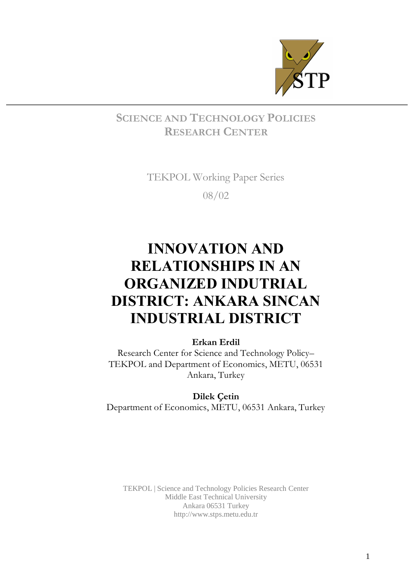

## SCIENCE AND TECHNOLOGY POLICIES RESEARCH CENTER

TEKPOL Working Paper Series 08/02

# INNOVATION AND RELATIONSHIPS IN AN ORGANIZED INDUTRIAL DISTRICT: ANKARA SINCAN INDUSTRIAL DISTRICT

## Erkan Erdil

Research Center for Science and Technology Policy-TEKPOL and Department of Economics, METU, 06531 Ankara, Turkey

Dilek Çetin Department of Economics, METU, 06531 Ankara, Turkey

TEKPOL | Science and Technology Policies Research Center Middle East Technical University Ankara 06531 Turkey <http://www.stps.metu.edu.tr>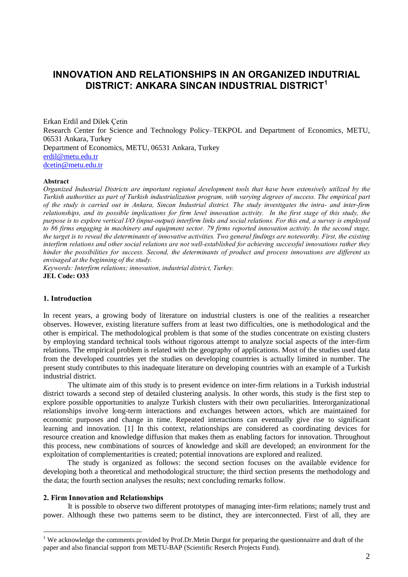## INNOVATION AND RELATIONSHIPS IN AN ORGANIZED INDUTRIAL DISTRICT: ANKARA SINCAN INDUSTRIAL DISTRICT $^\mathsf{1}$

Erkan Erdil and Dilek Cetin Research Center for Science and Technology Policy–TEKPOL and Department of Economics, METU, 06531 Ankara, Turkey Department of Economics, METU, 06531 Ankara, Turkey [erdil@metu.edu.tr](mailto:erdil@metu.edu.tr) [dcetin@metu.edu.tr](mailto:dcetin@metu.edu.tr)

#### Abstract

Organized Industrial Districts are important regional development tools that have been extensively utilized by the Turkish authorities as part of Turkish industrialization program, with varying degrees of success. The empirical part of the study is carried out in Ankara, Sincan Industrial district. The study investigates the intra- and inter-firm relationships, and its possible implications for firm level innovation activity. In the first stage of this study, the purpose is to explore vertical I/O (input-output) interfirm links and social relations. For this end, a survey is employed to 86 firms engaging in machinery and equipment sector. 79 firms reported innovation activity. In the second stage, the target is to reveal the determinants of innovative activities. Two general findings are noteworthy. First, the existing interfirm relations and other social relations are not well-established for achieving successful innovations rather they hinder the possibilities for success. Second, the determinants of product and process innovations are different as envisaged at the beginning of the study.

Keywords: Interfirm relations; innovation, industrial district, Turkey. JEL Code: O33

#### 1. Introduction

In recent years, a growing body of literature on industrial clusters is one of the realities a researcher observes. However, existing literature suffers from at least two difficulties, one is methodological and the other is empirical. The methodological problem is that some of the studies concentrate on existing clusters by employing standard technical tools without rigorous attempt to analyze social aspects of the inter-firm relations. The empirical problem is related with the geography of applications. Most of the studies used data from the developed countries yet the studies on developing countries is actually limited in number. The present study contributes to this inadequate literature on developing countries with an example of a Turkish industrial district.

The ultimate aim of this study is to present evidence on inter-firm relations in a Turkish industrial district towards a second step of detailed clustering analysis. In other words, this study is the first step to explore possible opportunities to analyze Turkish clusters with their own peculiarities. Interorganizational relationships involve long-term interactions and exchanges between actors, which are maintained for economic purposes and change in time. Repeated interactions can eventually give rise to significant learning and innovation. [1] In this context, relationships are considered as coordinating devices for resource creation and knowledge diffusion that makes them as enabling factors for innovation. Throughout this process, new combinations of sources of knowledge and skill are developed; an environment for the exploitation of complementarities is created; potential innovations are explored and realized.

The study is organized as follows: the second section focuses on the available evidence for developing both a theoretical and methodological structure; the third section presents the methodology and the data; the fourth section analyses the results; next concluding remarks follow.

#### 2. Firm Innovation and Relationships

It is possible to observe two different prototypes of managing inter-firm relations; namely trust and power. Although these two patterns seem to be distinct, they are interconnected. First of all, they are

<sup>&</sup>lt;sup>1</sup> We acknowledge the comments provided by Prof.Dr.Metin Durgut for preparing the questionnairre and draft of the paper and also financial support from METU-BAP (Scientific Reserch Projects Fund).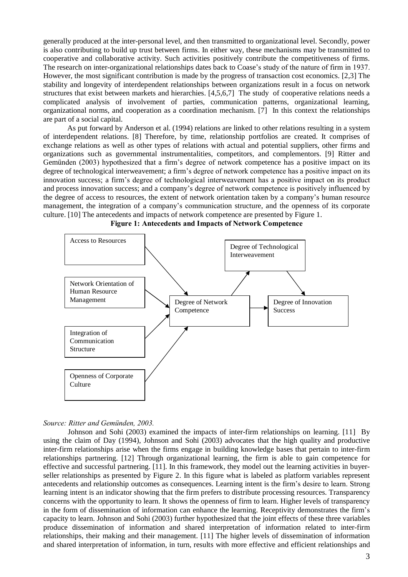generally produced at the inter-personal level, and then transmitted to organizational level. Secondly, power is also contributing to build up trust between firms. In either way, these mechanisms may be transmitted to cooperative and collaborative activity. Such activities positively contribute the competitiveness of firms. The research on inter-organizational relationships dates back to Coase's study of the nature of firm in 1937. However, the most significant contribution is made by the progress of transaction cost economics. [2,3] The stability and longevity of interdependent relationships between organizations result in a focus on network structures that exist between markets and hierarchies. [4,5,6,7] The study of cooperative relations needs a complicated analysis of involvement of parties, communication patterns, organizational learning, organizational norms, and cooperation as a coordination mechanism. [7] In this context the relationships are part of a social capital.

As put forward by Anderson et al. (1994) relations are linked to other relations resulting in a system of interdependent relations. [8] Therefore, by time, relationship portfolios are created. It comprises of exchange relations as well as other types of relations with actual and potential suppliers, other firms and organizations such as governmental instrumentalities, competitors, and complementors. [9] Ritter and Gemünden (2003) hypothesized that a firm's degree of network competence has a positive impact on its degree of technological interweavement; a firm's degree of network competence has a positive impact on its innovation success; a firm's degree of technological interweavement has a positive impact on its product and process innovation success; and a company's degree of network competence is positively influenced by the degree of access to resources, the extent of network orientation taken by a companyís human resource management, the integration of a companyís communication structure, and the openness of its corporate culture. [10] The antecedents and impacts of network competence are presented by Figure 1.



Figure 1: Antecedents and Impacts of Network Competence

#### Source: Ritter and Gemünden, 2003.

Johnson and Sohi (2003) examined the impacts of inter-firm relationships on learning. [11] By using the claim of Day (1994), Johnson and Sohi (2003) advocates that the high quality and productive inter-firm relationships arise when the firms engage in building knowledge bases that pertain to inter-firm relationships partnering. [12] Through organizational learning, the firm is able to gain competence for effective and successful partnering. [11]. In this framework, they model out the learning activities in buyer seller relationships as presented by Figure 2. In this figure what is labeled as platform variables represent antecedents and relationship outcomes as consequences. Learning intent is the firmís desire to learn. Strong learning intent is an indicator showing that the firm prefers to distribute processing resources. Transparency concerns with the opportunity to learn. It shows the openness of firm to learn. Higher levels of transparency in the form of dissemination of information can enhance the learning. Receptivity demonstrates the firm's capacity to learn. Johnson and Sohi (2003) further hypothesized that the joint effects of these three variables produce dissemination of information and shared interpretation of information related to inter-firm relationships, their making and their management. [11] The higher levels of dissemination of information and shared interpretation of information, in turn, results with more effective and efficient relationships and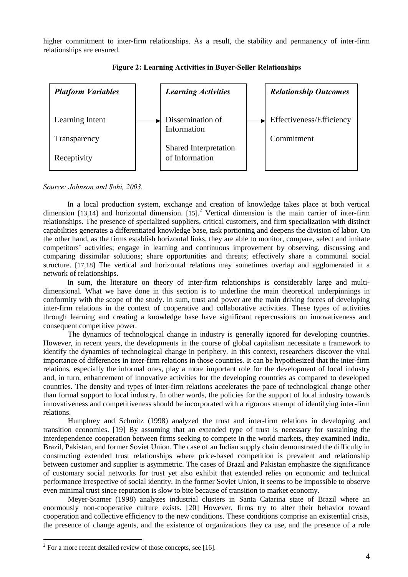higher commitment to inter-firm relationships. As a result, the stability and permanency of inter-firm relationships are ensured.



Figure 2: Learning Activities in Buyer-Seller Relationships

Source: Johnson and Sohi, 2003.

In a local production system, exchange and creation of knowledge takes place at both vertical dimension [13,14] and horizontal dimension.  $[15]$ <sup>2</sup> Vertical dimension is the main carrier of inter-firm relationships. The presence of specialized suppliers, critical customers, and firm specialization with distinct capabilities generates a differentiated knowledge base, task portioning and deepens the division of labor. On the other hand, as the firms establish horizontal links, they are able to monitor, compare, select and imitate competitors' activities; engage in learning and continuous improvement by observing, discussing and comparing dissimilar solutions; share opportunities and threats; effectively share a communal social structure. [17,18] The vertical and horizontal relations may sometimes overlap and agglomerated in a network of relationships.

In sum, the literature on theory of inter-firm relationships is considerably large and multi dimensional. What we have done in this section is to underline the main theoretical underpinnings in conformity with the scope of the study. In sum, trust and power are the main driving forces of developing inter-firm relations in the context of cooperative and collaborative activities. These types of activities through learning and creating a knowledge base have significant repercussions on innovativeness and consequent competitive power.

The dynamics of technological change in industry is generally ignored for developing countries. However, in recent years, the developments in the course of global capitalism necessitate a framework to identify the dynamics of technological change in periphery. In this context, researchers discover the vital importance of differences in inter-firm relations in those countries. It can be hypothesized that the inter-firm relations, especially the informal ones, play a more important role for the development of local industry and, in turn, enhancement of innovative activities for the developing countries as compared to developed countries. The density and types of inter-firm relations accelerates the pace of technological change other than formal support to local industry. In other words, the policies for the support of local industry towards innovativeness and competitiveness should be incorporated with a rigorous attempt of identifying inter-firm relations.<br>Humphrey and Schmitz (1998) analyzed the trust and inter-firm relations in developing and

transition economies. [19] By assuming that an extended type of trust is necessary for sustaining the interdependence cooperation between firms seeking to compete in the world markets, they examined India, Brazil, Pakistan, and former Soviet Union. The case of an Indian supply chain demonstrated the difficulty in constructing extended trust relationships where price-based competition is prevalent and relationship between customer and supplier is asymmetric. The cases of Brazil and Pakistan emphasize the significance of customary social networks for trust yet also exhibit that extended relies on economic and technical performance irrespective of social identity. In the former Soviet Union, it seems to be impossible to observe even minimal trust since reputation is slow to bite because of transition to market economy.

Meyer-Stamer (1998) analyzes industrial clusters in Santa Catarina state of Brazil where an enormously non-cooperative culture exists. [20] However, firms try to alter their behavior toward cooperation and collective efficiency to the new conditions. These conditions comprise an existential crisis, the presence of change agents, and the existence of organizations they ca use, and the presence of a role

 $2$  For a more recent detailed review of those concepts, see [16].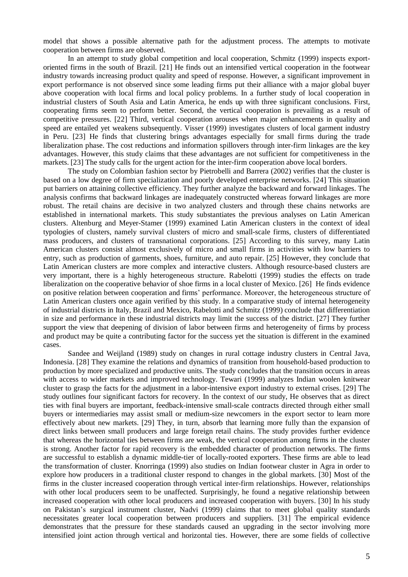model that shows a possible alternative path for the adjustment process. The attempts to motivate cooperation between firms are observed.

In an attempt to study global competition and local cooperation, Schmitz (1999) inspects export oriented firms in the south of Brazil. [21] He finds out an intensified vertical cooperation in the footwear industry towards increasing product quality and speed of response. However, a significant improvement in export performance is not observed since some leading firms put their alliance with a major global buyer above cooperation with local firms and local policy problems. In a further study of local cooperation in industrial clusters of South Asia and Latin America, he ends up with three significant conclusions. First, cooperating firms seem to perform better. Second, the vertical cooperation is prevailing as a result of competitive pressures. [22] Third, vertical cooperation arouses when major enhancements in quality and speed are entailed yet weakens subsequently. Visser (1999) investigates clusters of local garment industry in Peru. [23] He finds that clustering brings advantages especially for small firms during the trade liberalization phase. The cost reductions and information spillovers through inter-firm linkages are the key advantages. However, this study claims that these advantages are not sufficient for competitiveness in the markets. [23] The study calls for the urgent action for the inter-firm cooperation above local borders.

The study on Colombian fashion sector by Pietrobelli and Barrera (2002) verifies that the cluster is based on a low degree of firm specialization and poorly developed enterprise networks. [24] This situation put barriers on attaining collective efficiency. They further analyze the backward and forward linkages. The analysis confirms that backward linkages are inadequately constructed whereas forward linkages are more robust. The retail chains are decisive in two analyzed clusters and through these chains networks are established in international markets. This study substantiates the previous analyses on Latin American clusters. Altenburg and Meyer-Stamer (1999) examined Latin American clusters in the context of ideal typologies of clusters, namely survival clusters of micro and small-scale firms, clusters of differentiated mass producers, and clusters of transnational corporations. [25] According to this survey, many Latin American clusters consist almost exclusively of micro and small firms in activities with low barriers to entry, such as production of garments, shoes, furniture, and auto repair. [25] However, they conclude that Latin American clusters are more complex and interactive clusters. Although resource-based clusters are very important, there is a highly heterogeneous structure. Rabelotti (1999) studies the effects on trade liberalization on the cooperative behavior of shoe firms in a local cluster of Mexico. [26] He finds evidence on positive relation between cooperation and firms' performance. Moreover, the heterogeneous structure of Latin American clusters once again verified by this study. In a comparative study of internal heterogeneity of industrial districts in Italy, Brazil and Mexico, Rabelotti and Schmitz (1999) conclude that differentiation in size and performance in these industrial districts may limit the success of the district. [27] They further support the view that deepening of division of labor between firms and heterogeneity of firms by process and product may be quite a contributing factor for the success yet the situation is different in the examined cases.

Sandee and Weijland (1989) study on changes in rural cottage industry clusters in Central Java, Indonesia. [28] They examine the relations and dynamics of transition from household-based production to production by more specialized and productive units. The study concludes that the transition occurs in areas with access to wider markets and improved technology. Tewari (1999) analyzes Indian woolen knitwear cluster to grasp the facts for the adjustment in a labor-intensive export industry to external crises. [29] The study outlines four significant factors for recovery. In the context of our study, He observes that as direct ties with final buyers are important, feedback-intensive small-scale contracts directed through either small buyers or intermediaries may assist small or medium-size newcomers in the export sector to learn more effectively about new markets. [29] They, in turn, absorb that learning more fully than the expansion of direct links between small producers and large foreign retail chains. The study provides further evidence that whereas the horizontal ties between firms are weak, the vertical cooperation among firms in the cluster is strong. Another factor for rapid recovery is the embedded character of production networks. The firms are successful to establish a dynamic middle-tier of locally-rooted exporters. These firms are able to lead the transformation of cluster. Knorringa (1999) also studies on Indian footwear cluster in Agra in order to explore how producers in a traditional cluster respond to changes in the global markets. [30] Most of the firms in the cluster increased cooperation through vertical inter-firm relationships. However, relationships with other local producers seem to be unaffected. Surprisingly, he found a negative relationship between increased cooperation with other local producers and increased cooperation with buyers. [30] In his study on Pakistanís surgical instrument cluster, Nadvi (1999) claims that to meet global quality standards necessitates greater local cooperation between producers and suppliers. [31] The empirical evidence demonstrates that the pressure for these standards caused an upgrading in the sector involving more intensified joint action through vertical and horizontal ties. However, there are some fields of collective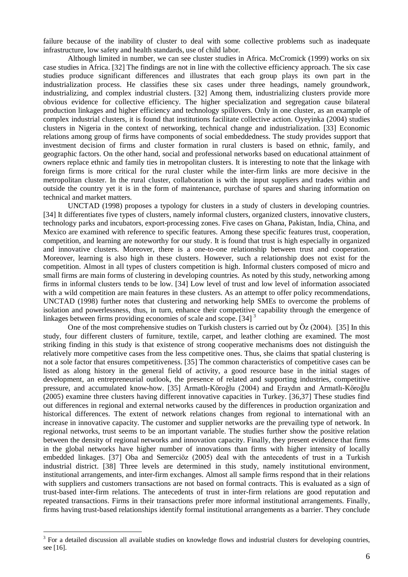failure because of the inability of cluster to deal with some collective problems such as inadequate infrastructure, low safety and health standards, use of child labor.

Although limited in number, we can see cluster studies in Africa. McCromick (1999) works on six case studies in Africa. [32] The findings are not in line with the collective efficiency approach. The six case studies produce significant differences and illustrates that each group plays its own part in the industrialization process. He classifies these six cases under three headings, namely groundwork, industrializing, and complex industrial clusters. [32] Among them, industrializing clusters provide more obvious evidence for collective efficiency. The higher specialization and segregation cause bilateral production linkages and higher efficiency and technology spillovers. Only in one cluster, as an example of complex industrial clusters, it is found that institutions facilitate collective action. Oyeyinka (2004) studies clusters in Nigeria in the context of networking, technical change and industrialization. [33] Economic relations among group of firms have components of social embeddedness. The study provides support that investment decision of firms and cluster formation in rural clusters is based on ethnic, family, and geographic factors. On the other hand, social and professional networks based on educational attainment of owners replace ethnic and family ties in metropolitan clusters. It is interesting to note that the linkage with foreign firms is more critical for the rural cluster while the inter-firm links are more decisive in the metropolitan cluster. In the rural cluster, collaboration is with the input suppliers and trades within and outside the country yet it is in the form of maintenance, purchase of spares and sharing information on technical and market matters.

UNCTAD (1998) proposes a typology for clusters in a study of clusters in developing countries. [34] It differentiates five types of clusters, namely informal clusters, organized clusters, innovative clusters, technology parks and incubators, export-processing zones. Five cases on Ghana, Pakistan, India, China, and Mexico are examined with reference to specific features. Among these specific features trust, cooperation, competition, and learning are noteworthy for our study. It is found that trust is high especially in organized and innovative clusters. Moreover, there is a one-to-one relationship between trust and cooperation. Moreover, learning is also high in these clusters. However, such a relationship does not exist for the competition. Almost in all types of clusters competition is high. Informal clusters composed of micro and small firms are main forms of clustering in developing countries. As noted by this study, networking among firms in informal clusters tends to be low. [34] Low level of trust and low level of information associated with a wild competition are main features in these clusters. As an attempt to offer policy recommendations, UNCTAD (1998) further notes that clustering and networking help SMEs to overcome the problems of isolation and powerlessness, thus, in turn, enhance their competitive capability through the emergence of linkages between firms providing economies of scale and scope. [34]<sup>3</sup>

One of the most comprehensive studies on Turkish clusters is carried out by  $\ddot{O}z$  (2004). [35] In this study, four different clusters of furniture, textile, carpet, and leather clothing are examined. The most striking finding in this study is that existence of strong cooperative mechanisms does not distinguish the relatively more competitive cases from the less competitive ones. Thus, she claims that spatial clustering is not a sole factor that ensures competitiveness. [35] The common characteristics of competitive cases can be listed as along history in the general field of activity, a good resource base in the initial stages of development, an entrepreneurial outlook, the presence of related and supporting industries, competitive pressure, and accumulated know-how. [35] Armatlı-Köroğlu (2004) and Eraydın and Armatlı-Köroğlu (2005) examine three clusters having different innovative capacities in Turkey. [36,37] These studies find out differences in regional and external networks caused by the differences in production organization and historical differences. The extent of network relations changes from regional to international with an increase in innovative capacity. The customer and supplier networks are the prevailing type of network. In regional networks, trust seems to be an important variable. The studies further show the positive relation between the density of regional networks and innovation capacity. Finally, they present evidence that firms in the global networks have higher number of innovations than firms with higher intensity of locally embedded linkages. [37] Oba and Semerciöz (2005) deal with the antecedents of trust in a Turkish industrial district. [38] Three levels are determined in this study, namely institutional environment, institutional arrangements, and inter-firm exchanges. Almost all sample firms respond that in their relations with suppliers and customers transactions are not based on formal contracts. This is evaluated as a sign of trust-based inter-firm relations. The antecedents of trust in inter-firm relations are good reputation and repeated transactions. Firms in their transactions prefer more informal institutional arrangements. Finally, firms having trust-based relationships identify formal institutional arrangements as a barrier. They conclude

<sup>&</sup>lt;sup>3</sup> For a detailed discussion all available studies on knowledge flows and industrial clusters for developing countries, see [16].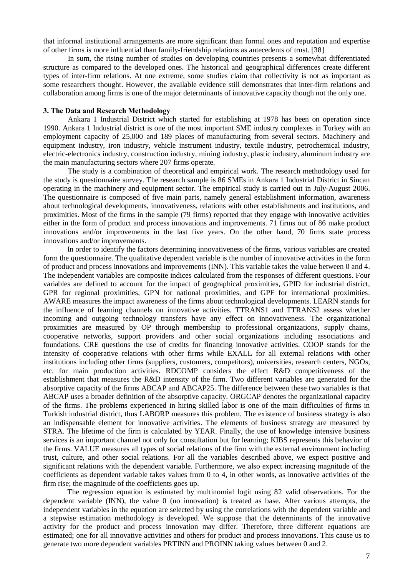that informal institutional arrangements are more significant than formal ones and reputation and expertise of other firms is more influential than family-friendship relations as antecedents of trust. [38]

In sum, the rising number of studies on developing countries presents a somewhat differentiated structure as compared to the developed ones. The historical and geographical differences create different types of inter-firm relations. At one extreme, some studies claim that collectivity is not as important as some researchers thought. However, the available evidence still demonstrates that inter-firm relations and collaboration among firms is one of the major determinants of innovative capacity though not the only one.

#### 3. The Data and Research Methodology

Ankara 1 Industrial District which started for establishing at 1978 has been on operation since 1990. Ankara 1 Industrial district is one of the most important SME industry complexes in Turkey with an employment capacity of 25,000 and 189 places of manufacturing from several sectors. Machinery and equipment industry, iron industry, vehicle instrument industry, textile industry, petrochemical industry, electric-electronics industry, construction industry, mining industry, plastic industry, aluminum industry are the main manufacturing sectors where 207 firms operate.

The study is a combination of theoretical and empirical work. The research methodology used for the study is questionnaire survey. The research sample is 86 SMEs in Ankara 1 Industrial District in Sincan operating in the machinery and equipment sector. The empirical study is carried out in July-August 2006. The questionnaire is composed of five main parts, namely general establishment information, awareness about technological developments, innovativeness, relations with other establishments and institutions, and proximities. Most of the firms in the sample (79 firms) reported that they engage with innovative activities either in the form of product and process innovations and improvements. 71 firms out of 86 make product innovations and/or improvements in the last five years. On the other hand, 70 firms state process innovations and/or improvements.

In order to identify the factors determining innovativeness of the firms, various variables are created form the questionnaire. The qualitative dependent variable is the number of innovative activities in the form of product and process innovations and improvements (INN). This variable takes the value between 0 and 4. The independent variables are composite indices calculated from the responses of different questions. Four variables are defined to account for the impact of geographical proximities, GPID for industrial district, GPR for regional proximities, GPN for national proximities, and GPF for international proximities. AWARE measures the impact awareness of the firms about technological developments. LEARN stands for the influence of learning channels on innovative activities. TTRANS1 and TTRANS2 assess whether incoming and outgoing technology transfers have any effect on innovativeness. The organizational proximities are measured by OP through membership to professional organizations, supply chains, cooperative networks, support providers and other social organizations including associations and foundations. CRE questions the use of credits for financing innovative activities. COOP stands for the intensity of cooperative relations with other firms while EXALL for all external relations with other institutions including other firms (suppliers, customers, competitors), universities, research centers, NGOs, etc. for main production activities. RDCOMP considers the effect R&D competitiveness of the establishment that measures the R&D intensity of the firm. Two different variables are generated for the absorptive capacity of the firms ABCAP and ABCAP25. The difference between these two variables is that ABCAP uses a broader definition of the absorptive capacity. ORGCAP denotes the organizational capacity of the firms. The problems experienced in hiring skilled labor is one of the main difficulties of firms in Turkish industrial district, thus LABORP measures this problem. The existence of business strategy is also an indispensable element for innovative activities. The elements of business strategy are measured by STRA. The lifetime of the firm is calculated by YEAR. Finally, the use of knowledge intensive business services is an important channel not only for consultation but for learning; KIBS represents this behavior of the firms. VALUE measures all types of social relations of the firm with the external environment including trust, culture, and other social relations. For all the variables described above, we expect positive and significant relations with the dependent variable. Furthermore, we also expect increasing magnitude of the coefficients as dependent variable takes values from  $0$  to  $4$ , in other words, as innovative activities of the firm rise; the magnitude of the coefficients goes up.

The regression equation is estimated by multinomial logit using 82 valid observations. For the dependent variable (INN), the value 0 (no innovation) is treated as base. After various attempts, the independent variables in the equation are selected by using the correlations with the dependent variable and a stepwise estimation methodology is developed. We suppose that the determinants of the innovative activity for the product and process innovation may differ. Therefore, three different equations are estimated; one for all innovative activities and others for product and process innovations. This cause us to generate two more dependent variables PRTINN and PROINN taking values between 0 and 2.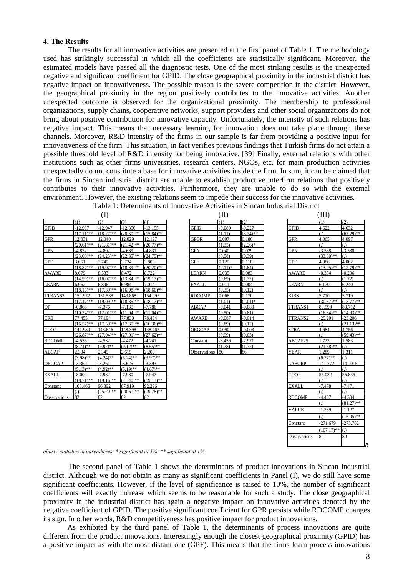#### 4. The Results

The results for all innovative activities are presented at the first panel of Table 1. The methodology used has strikingly successful in which all the coefficients are statistically significant. Moreover, the estimated models have passed all the diagnostic tests. One of the most striking results is the unexpected negative and significant coefficient for GPID. The close geographical proximity in the industrial district has negative impact on innovativeness. The possible reason is the severe competition in the district. However, the geographical proximity in the region positively contributes to the innovative activities. Another unexpected outcome is observed for the organizational proximity. The membership to professional organizations, supply chains, cooperative networks, support providers and other social organizations do not bring about positive contribution for innovative capacity. Unfortunately, the intensity of such relations has negative impact. This means that necessary learning for innovation does not take place through these channels. Moreover, R&D intensity of the firms in our sample is far from providing a positive input for innovativeness of the firm. This situation, in fact verifies previous findings that Turkish firms do not attain a possible threshold level of R&D intensity for being innovative. [39] Finally, external relations with other institutions such as other firms universities, research centers, NGOs, etc. for main production activities unexpectedly do not constitute a base for innovative activities inside the firm. In sum, it can be claimed that the firms in Sincan industrial district are unable to establish productive interfirm relations that positively contributes to their innovative activities. Furthermore, they are unable to do so with the external environment. However, the existing relations seem to impede their success for the innovative activities. Table 1: Determinants of Innovative Activities in Sincan Industri

| $\rm(I)$            |              |              |              | (II)         |  |                     |           | (III)       |               |                  |                  |
|---------------------|--------------|--------------|--------------|--------------|--|---------------------|-----------|-------------|---------------|------------------|------------------|
|                     | (1)          | (2)          | (3)          | (4)          |  |                     | (1)       | (2)         |               | (1)              | (2)              |
| <b>GPID</b>         | -12.937      | $-12.947$    | $-12.856$    | $-13.155$    |  | <b>GPID</b>         | $-0.089$  | $-0.227$    | <b>GPID</b>   | 4.622            | 4.632            |
|                     | $(17.11)$ ** | $(18.27)$ ** | $(20.30)$ ** | $(15.84)$ ** |  |                     | (111)     | $(3.24)$ ** |               |                  | $(67.29)$ **     |
| <b>GPR</b>          | 12.031       | 12.040       | 12.029       | 12.197       |  | <b>GPGR</b>         | 0.097     | 0.186       | <b>GPR</b>    | 4.065            | 4.097            |
|                     | $(20.61)$ ** | $(21.81)$ ** | $(21.42)$ ** | $(20.77)$ ** |  |                     | (1.35)    | $(2.26)^*$  |               |                  | $\left( \right)$ |
| <b>GPN</b>          | $-4.852$     | $-4.802$     | $-4.689$     | $-4.831$     |  | <b>GPN</b>          | 0.040     | 0.029       | <b>GPN</b>    | $-3.538$         | $-3.538$         |
|                     | $(23.00)$ ** | $(24.23)$ ** | $(22.85)$ ** | $(24.75)$ ** |  |                     | (0.58)    | (0.39)      |               | $(33.80)$ **     | $\left(\right)$  |
| <b>GPF</b>          | 3.661        | 3.745        | 3.724        | 3.800        |  | <b>GPF</b>          | 0.125     | 0.118       | <b>GPF</b>    | 4.086            | 4.062            |
|                     | $(18.87)$ ** | $(19.07)$ ** | $(18.89)$ ** | $(20.20)**$  |  |                     | $(2.11)*$ | (1.84)      |               | $(13.95)$ **     | $(12.79)$ **     |
| <b>AWARE</b>        | 8.679        | 8.533        | 8 4 7 2      | 8722         |  | LEARN               | 0.035     | 0.083       | <b>AWARE</b>  | $-0.354$         | $-0.296$         |
|                     | $(14.90)$ ** | $(16.07)$ ** | $(13.34)$ ** | $(19.17)$ ** |  |                     | (0.69)    | (1.22)      |               | $\left( \right)$ | (1.72)           |
| <b>LEARN</b>        | 6.962        | 6.896        | 6.984        | 7.014        |  | EXALL               | 0.011     | 0.004       | <b>LEARN</b>  | 6.170            | 6.240            |
|                     | $(18.15)$ ** | $(17.39)$ ** | $(16.98)$ ** | $(18.60)$ ** |  |                     | (0.35)    | (012)       |               |                  | ( )              |
| TTRANS2             | 150.972      | 151.588      | 149.868      | 154.095      |  | <b>RDCOMP</b>       | 0.068     | 0.170       | <b>KIBS</b>   | 5.710            | 5.719            |
|                     | $(17.47)$ ** | $(19.09)$ ** | $(18.85)$ ** | $(18.17)$ ** |  |                     | (1.01)    | $(2.01)$ *  |               | $(30.87)$ **     | $(18.77)$ **     |
| <b>OP</b>           | $-6.868$     | $-7.376$     | $-7.135$     | $-7.786$     |  | <b>ABCAP</b>        | $-0.041$  | $-0.080$    | TTRANS1       | 83.590           | 83.712           |
|                     | $(10.24)$ ** | $(12.01)$ ** | $(11.04)$ ** | $(11.04)$ ** |  |                     | (0.50)    | (0.81)      |               | $(16.84)$ **     | $(14.93)$ **     |
| <b>CRE</b>          | 77.455       | 77.194       | 77.830       | 78.434       |  | AWARE               | $-0.087$  | $-0.014$    | TTRANS2       | $-25.291$        | $-23.206$        |
|                     | $(16.57)$ ** | $(17.59)$ ** | $(17.30)$ ** | $(16.36)$ ** |  |                     | (0.89)    | (0.12)      |               |                  | $(21.13)$ **     |
| <b>COOP</b>         | 147.980      | 148.646      | 148.398      | 148.767      |  | ORGCAP              | 0.090     | $-0.003$    | <b>STRA</b>   | 4.684            | 4,756            |
|                     | $(26.87)$ ** | $(27.04)$ ** | $(27.01)$ ** | $(27.62)$ ** |  |                     | (0.99)    | (0.03)      |               |                  | $(59.43)$ **     |
| <b>RDCOMP</b>       | -4.536       | $-4.532$     | $-4.472$     | $-4.241$     |  | Constant            | $-3.456$  | $-2.971$    | ABCAP25       | 1 722            | 1.583            |
|                     | $(8.74)$ **  | $(9.97)$ **  | $(9.12)$ **  | $(8.65)$ **  |  |                     | (1.78)    | (1.72)      |               | $(21.68)$ **     | $\overline{()}$  |
| ABCAP               | 2.304        | 2.345        | 2.615        | 2.209        |  | <b>Observations</b> | 86        | 86          | <b>YEAR</b>   | 1.289            | 1 3 1 1          |
|                     | $(3.98)$ **  | $(4.24)$ **  | $(5.24)$ **  | $(3.97)$ **  |  |                     |           |             |               | $(6.27)$ **      | $\mathcal{L}$    |
| ORGCAP              | $-3.360$     | $-3.261$     | $-3625$      | $-3.393$     |  |                     |           |             | <b>LABORP</b> | 141.772          | 141 015          |
|                     | $(5.13)$ **  | $(492)*$     | $(5.19)$ **  | $(4.67)$ **  |  |                     |           |             |               | $\bigcap$        | ( )              |
| <b>EXALL</b>        | $-8.004$     | $-7.932$     | $-7.980$     | $-7.947$     |  |                     |           |             | <b>COOP</b>   | 55.032           | 55.835           |
|                     | $(18.71)$ ** | $(19.16)$ ** | $(21.40)$ ** | $(19.13)$ ** |  |                     |           |             |               |                  | $\left( \right)$ |
| Constant            | 100.466      | 96.892       | 87.919       | 92.296       |  |                     |           |             | <b>EXALL</b>  | $-7.478$         | $-7.471$         |
|                     | ( )          | $(25.20)$ ** | $(20.61)$ ** | $(19.78)$ ** |  |                     |           |             |               |                  | $\left( \right)$ |
| <b>Observations</b> | 82           | 82           | 82           | 82           |  |                     |           |             | <b>RDCOMP</b> | $-4.407$         | $-4.304$         |

|               | (11)       |             |
|---------------|------------|-------------|
|               | (1)        | (2)         |
| <b>GPID</b>   | $-0.089$   | $-0.227$    |
|               | (1.11)     | $(3.24)$ ** |
| <b>GPGR</b>   | 0.097      | 0.186       |
|               | (1.35)     | $(2.26)^*$  |
| <b>GPN</b>    | 0.040      | 0.029       |
|               | (0.58)     | (0.39)      |
| <b>GPF</b>    | 0.125      | 0.118       |
|               | $(2.11)^*$ | (1.84)      |
| <b>LEARN</b>  | 0.035      | 0.083       |
|               | (0.69)     | (1.22)      |
| <b>EXALL</b>  | 0.011      | 0.004       |
|               | (0.35)     | (0.12)      |
| <b>RDCOMP</b> | 0.068      | 0.170       |
|               | (1.01)     | $(2.01)$ *  |
| <b>ABCAP</b>  | $-0.041$   | $-0.080$    |
|               | (0.50)     | (0.81)      |
| <b>AWARE</b>  | $-0.087$   | $-0.014$    |
|               | (0.89)     | (0.12)      |
| <b>ORGCAP</b> | 0.090      | $-0.003$    |
|               | (0.99)     | (0.03)      |
| Constant      | $-3.456$   | -2.971      |
|               | (1.78)     | (1.72)      |

| (III)<br>(1)<br>(2)<br>4.622<br>4.632<br><b>GPID</b><br>$(67.29)$ **<br>$\left( .\right)$<br><b>GPR</b><br>4.065<br>4.097<br>$\Omega$<br>$\left( .\right)$<br>$-3.538$<br>$-3.538$<br><b>GPN</b><br>$(33.80)$ **<br>$\left( .\right)$<br><b>GPF</b><br>4,062<br>4.086<br>$(13.95)$ **<br>$(12.79)$ **<br><b>AWARE</b><br>$-0.296$<br>$-0.354$<br>$\Omega$<br>(1.72)<br><b>LEARN</b><br>6.170<br>6.240<br>$\Omega$<br>$\Omega$<br><b>KIBS</b><br>5.710<br>5.719<br>$(30.87)$ **<br>$(18.77)$ **<br><b>TTRANS1</b><br>83.590<br>83.712<br>$(14.93)$ **<br>$(16.84)$ **<br><b>TTRANS2</b><br>$-25.291$<br>$-23.206$<br>$(21.13)$ **<br>$\Omega$<br><b>STRA</b><br>4.684<br>4.756<br>$(59.43)$ **<br>$\Omega$<br>ABCAP25<br>1.722<br>1.583<br>$(21.68)$ **<br>$\Omega$<br><b>YEAR</b><br>1.311<br>1.289<br>$(6.27)$ **<br>$\left( .\right)$<br><b>LABORP</b><br>141.015<br>141.772<br>$\left( \right)$<br>COOP<br>55.032<br>55.835<br>$\Omega$<br>$\Omega$<br><b>EXALL</b><br>$-7.471$<br>$-7.478$<br>$\overline{(.)}$<br>(.)<br><b>RDCOMP</b><br>$-4.407$<br>$-4.304$<br>$(81.27)$ **<br>(.)<br><b>VALUE</b><br>$-1.289$<br>$-1.127$<br>$(16.05)$ **<br>(.)<br>Constant<br>$-271.679$<br>$-273.782$<br>$(107.17)$ **<br>(.)<br>Observations<br>80<br>80<br>$\overline{R}$ | ial District |  |  |
|------------------------------------------------------------------------------------------------------------------------------------------------------------------------------------------------------------------------------------------------------------------------------------------------------------------------------------------------------------------------------------------------------------------------------------------------------------------------------------------------------------------------------------------------------------------------------------------------------------------------------------------------------------------------------------------------------------------------------------------------------------------------------------------------------------------------------------------------------------------------------------------------------------------------------------------------------------------------------------------------------------------------------------------------------------------------------------------------------------------------------------------------------------------------------------------------------------------------------------------------------------------------|--------------|--|--|
|                                                                                                                                                                                                                                                                                                                                                                                                                                                                                                                                                                                                                                                                                                                                                                                                                                                                                                                                                                                                                                                                                                                                                                                                                                                                        |              |  |  |
|                                                                                                                                                                                                                                                                                                                                                                                                                                                                                                                                                                                                                                                                                                                                                                                                                                                                                                                                                                                                                                                                                                                                                                                                                                                                        |              |  |  |
|                                                                                                                                                                                                                                                                                                                                                                                                                                                                                                                                                                                                                                                                                                                                                                                                                                                                                                                                                                                                                                                                                                                                                                                                                                                                        |              |  |  |
|                                                                                                                                                                                                                                                                                                                                                                                                                                                                                                                                                                                                                                                                                                                                                                                                                                                                                                                                                                                                                                                                                                                                                                                                                                                                        |              |  |  |
|                                                                                                                                                                                                                                                                                                                                                                                                                                                                                                                                                                                                                                                                                                                                                                                                                                                                                                                                                                                                                                                                                                                                                                                                                                                                        |              |  |  |
|                                                                                                                                                                                                                                                                                                                                                                                                                                                                                                                                                                                                                                                                                                                                                                                                                                                                                                                                                                                                                                                                                                                                                                                                                                                                        |              |  |  |
|                                                                                                                                                                                                                                                                                                                                                                                                                                                                                                                                                                                                                                                                                                                                                                                                                                                                                                                                                                                                                                                                                                                                                                                                                                                                        |              |  |  |
|                                                                                                                                                                                                                                                                                                                                                                                                                                                                                                                                                                                                                                                                                                                                                                                                                                                                                                                                                                                                                                                                                                                                                                                                                                                                        |              |  |  |
|                                                                                                                                                                                                                                                                                                                                                                                                                                                                                                                                                                                                                                                                                                                                                                                                                                                                                                                                                                                                                                                                                                                                                                                                                                                                        |              |  |  |
|                                                                                                                                                                                                                                                                                                                                                                                                                                                                                                                                                                                                                                                                                                                                                                                                                                                                                                                                                                                                                                                                                                                                                                                                                                                                        |              |  |  |
|                                                                                                                                                                                                                                                                                                                                                                                                                                                                                                                                                                                                                                                                                                                                                                                                                                                                                                                                                                                                                                                                                                                                                                                                                                                                        |              |  |  |
|                                                                                                                                                                                                                                                                                                                                                                                                                                                                                                                                                                                                                                                                                                                                                                                                                                                                                                                                                                                                                                                                                                                                                                                                                                                                        |              |  |  |
|                                                                                                                                                                                                                                                                                                                                                                                                                                                                                                                                                                                                                                                                                                                                                                                                                                                                                                                                                                                                                                                                                                                                                                                                                                                                        |              |  |  |
|                                                                                                                                                                                                                                                                                                                                                                                                                                                                                                                                                                                                                                                                                                                                                                                                                                                                                                                                                                                                                                                                                                                                                                                                                                                                        |              |  |  |
|                                                                                                                                                                                                                                                                                                                                                                                                                                                                                                                                                                                                                                                                                                                                                                                                                                                                                                                                                                                                                                                                                                                                                                                                                                                                        |              |  |  |
|                                                                                                                                                                                                                                                                                                                                                                                                                                                                                                                                                                                                                                                                                                                                                                                                                                                                                                                                                                                                                                                                                                                                                                                                                                                                        |              |  |  |
|                                                                                                                                                                                                                                                                                                                                                                                                                                                                                                                                                                                                                                                                                                                                                                                                                                                                                                                                                                                                                                                                                                                                                                                                                                                                        |              |  |  |
|                                                                                                                                                                                                                                                                                                                                                                                                                                                                                                                                                                                                                                                                                                                                                                                                                                                                                                                                                                                                                                                                                                                                                                                                                                                                        |              |  |  |
|                                                                                                                                                                                                                                                                                                                                                                                                                                                                                                                                                                                                                                                                                                                                                                                                                                                                                                                                                                                                                                                                                                                                                                                                                                                                        |              |  |  |
|                                                                                                                                                                                                                                                                                                                                                                                                                                                                                                                                                                                                                                                                                                                                                                                                                                                                                                                                                                                                                                                                                                                                                                                                                                                                        |              |  |  |
|                                                                                                                                                                                                                                                                                                                                                                                                                                                                                                                                                                                                                                                                                                                                                                                                                                                                                                                                                                                                                                                                                                                                                                                                                                                                        |              |  |  |
|                                                                                                                                                                                                                                                                                                                                                                                                                                                                                                                                                                                                                                                                                                                                                                                                                                                                                                                                                                                                                                                                                                                                                                                                                                                                        |              |  |  |
|                                                                                                                                                                                                                                                                                                                                                                                                                                                                                                                                                                                                                                                                                                                                                                                                                                                                                                                                                                                                                                                                                                                                                                                                                                                                        |              |  |  |
|                                                                                                                                                                                                                                                                                                                                                                                                                                                                                                                                                                                                                                                                                                                                                                                                                                                                                                                                                                                                                                                                                                                                                                                                                                                                        |              |  |  |
|                                                                                                                                                                                                                                                                                                                                                                                                                                                                                                                                                                                                                                                                                                                                                                                                                                                                                                                                                                                                                                                                                                                                                                                                                                                                        |              |  |  |
|                                                                                                                                                                                                                                                                                                                                                                                                                                                                                                                                                                                                                                                                                                                                                                                                                                                                                                                                                                                                                                                                                                                                                                                                                                                                        |              |  |  |
|                                                                                                                                                                                                                                                                                                                                                                                                                                                                                                                                                                                                                                                                                                                                                                                                                                                                                                                                                                                                                                                                                                                                                                                                                                                                        |              |  |  |
|                                                                                                                                                                                                                                                                                                                                                                                                                                                                                                                                                                                                                                                                                                                                                                                                                                                                                                                                                                                                                                                                                                                                                                                                                                                                        |              |  |  |
|                                                                                                                                                                                                                                                                                                                                                                                                                                                                                                                                                                                                                                                                                                                                                                                                                                                                                                                                                                                                                                                                                                                                                                                                                                                                        |              |  |  |
|                                                                                                                                                                                                                                                                                                                                                                                                                                                                                                                                                                                                                                                                                                                                                                                                                                                                                                                                                                                                                                                                                                                                                                                                                                                                        |              |  |  |
|                                                                                                                                                                                                                                                                                                                                                                                                                                                                                                                                                                                                                                                                                                                                                                                                                                                                                                                                                                                                                                                                                                                                                                                                                                                                        |              |  |  |
|                                                                                                                                                                                                                                                                                                                                                                                                                                                                                                                                                                                                                                                                                                                                                                                                                                                                                                                                                                                                                                                                                                                                                                                                                                                                        |              |  |  |
|                                                                                                                                                                                                                                                                                                                                                                                                                                                                                                                                                                                                                                                                                                                                                                                                                                                                                                                                                                                                                                                                                                                                                                                                                                                                        |              |  |  |
|                                                                                                                                                                                                                                                                                                                                                                                                                                                                                                                                                                                                                                                                                                                                                                                                                                                                                                                                                                                                                                                                                                                                                                                                                                                                        |              |  |  |
|                                                                                                                                                                                                                                                                                                                                                                                                                                                                                                                                                                                                                                                                                                                                                                                                                                                                                                                                                                                                                                                                                                                                                                                                                                                                        |              |  |  |
|                                                                                                                                                                                                                                                                                                                                                                                                                                                                                                                                                                                                                                                                                                                                                                                                                                                                                                                                                                                                                                                                                                                                                                                                                                                                        |              |  |  |
|                                                                                                                                                                                                                                                                                                                                                                                                                                                                                                                                                                                                                                                                                                                                                                                                                                                                                                                                                                                                                                                                                                                                                                                                                                                                        |              |  |  |
|                                                                                                                                                                                                                                                                                                                                                                                                                                                                                                                                                                                                                                                                                                                                                                                                                                                                                                                                                                                                                                                                                                                                                                                                                                                                        |              |  |  |
|                                                                                                                                                                                                                                                                                                                                                                                                                                                                                                                                                                                                                                                                                                                                                                                                                                                                                                                                                                                                                                                                                                                                                                                                                                                                        |              |  |  |
|                                                                                                                                                                                                                                                                                                                                                                                                                                                                                                                                                                                                                                                                                                                                                                                                                                                                                                                                                                                                                                                                                                                                                                                                                                                                        |              |  |  |

obust z statistics in parentheses; \* significant at 5%; \*\* significant at 1%

The second panel of Table 1 shows the determinants of product innovations in Sincan industrial district. Although we do not obtain as many as significant coefficients in Panel (I), we do still have some significant coefficients. However, if the level of significance is raised to 10%, the number of significant coefficients will exactly increase which seems to be reasonable for such a study. The close geographical proximity in the industrial district has again a negative impact on innovative activities denoted by the negative coefficient of GPID. The positive significant coefficient for GPR persists while RDCOMP changes its sign. In other words, R&D competitiveness has positive impact for product innovations.

As exhibited by the third panel of Table 1, the determinants of process innovations are quite different from the product innovations. Interestingly enough the closest geographical proximity (GPID) has a positive impact as with the most distant one (GPF). This means that the firms learn process innovations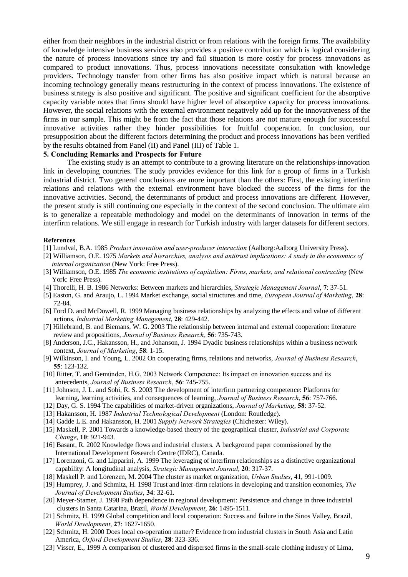either from their neighbors in the industrial district or from relations with the foreign firms. The availability of knowledge intensive business services also provides a positive contribution which is logical considering the nature of process innovations since try and fail situation is more costly for process innovations as compared to product innovations. Thus, process innovations necessitate consultation with knowledge providers. Technology transfer from other firms has also positive impact which is natural because an incoming technology generally means restructuring in the context of process innovations. The existence of business strategy is also positive and significant. The positive and significant coefficient for the absorptive capacity variable notes that firms should have higher level of absorptive capacity for process innovations. However, the social relations with the external environment negatively add up for the innovativeness of the firms in our sample. This might be from the fact that those relations are not mature enough for successful innovative activities rather they hinder possibilities for fruitful cooperation. In conclusion, our presupposition about the different factors determining the product and process innovations has been verified by the results obtained from Panel (II) and Panel (III) of Table 1.

#### 5. Concluding Remarks and Prospects for Future

The existing study is an attempt to contribute to a growing literature on the relationships-innovation link in developing countries. The study provides evidence for this link for a group of firms in a Turkish industrial district. Two general conclusions are more important than the others: First, the existing interfirm relations and relations with the external environment have blocked the success of the firms for the innovative activities. Second, the determinants of product and process innovations are different. However, the present study is still continuing one especially in the context of the second conclusion. The ultimate aim is to generalize a repeatable methodology and model on the determinants of innovation in terms of the interfirm relations. We still engage in research for Turkish industry with larger datasets for different sectors.

#### References

- [1] Lundval, B.A. 1985 Product innovation and user-producer interaction (Aalborg:Aalborg University Press).
- [2] Williamson, O.E. 1975 Markets and hierarchies, analysis and antitrust implications: A study in the economics of internal organization (New York: Free Press).
- [3] Williamson, O.E. 1985 The economic institutions of capitalism: Firms, markets, and relational contracting (New York: Free Press).
- [4] Thorelli, H. B. 1986 Networks: Between markets and hierarchies, Strategic Management Journal, 7: 37-51.
- [5] Easton, G. and Araujo, L. 1994 Market exchange, social structures and time, *European Journal of Marketing*, 28: 72-84.
- [6] Ford D. and McDowell, R. 1999 Managing business relationships by analyzing the effects and value of different actions, Industrial Marketing Manegement, 28: 429-442.
- [7] Hillebrand, B. and Biemans, W. G. 2003 The relationship between internal and external cooperation: literature review and propositions, Journal of Business Research, 56: 735-743.
- [8] Anderson, J.C., Hakansson, H., and Johanson, J. 1994 Dyadic business relationships within a business network context, Journal of Marketing, 58: 1-15.
- [9] Wilkinson, I. and Young, L. 2002 On cooperating firms, relations and networks, *Journal of Business Research*, 55: 123-132.
- [10] Ritter, T. and Gemünden, H.G. 2003 Network Competence: Its impact on innovation success and its antecedents, Journal of Business Research, 56: 745-755.
- [11] Johnson, J. L. and Sohi, R. S. 2003 The development of interfirm partnering competence: Platforms for learning, learning activities, and consequences of learning, Journal of Business Research, 56: 757-766.
- [12] Day, G. S. 1994 The capabilities of market-driven organizations, *Journal of Marketing*, **58**: 37-52.
- [13] Hakansson, H. 1987 Industrial Technological Development (London: Routledge).
- [14] Gadde L.E. and Hakansson, H. 2001 Supply Network Strategies (Chichester: Wiley).
- [15] Maskell, P. 2001 Towards a knowledge-based theory of the geographical cluster, *Industrial and Corporate* Change, 10: 921-943.
- [16] Basant, R. 2002 Knowledge flows and industrial clusters. A background paper commissioned by the International Development Research Centre (IDRC), Canada.
- [17] Lorenzoni, G. and Lipparini, A. 1999 The leveraging of interfirm relationships as a distinctive organizational capability: A longitudinal analysis, Strategic Management Journal, 20: 317-37.
- [18] Maskell P. and Lorenzen, M. 2004 The cluster as market organization, Urban Studies, 41, 991-1009.
- [19] Humprey, J. and Schmitz, H. 1998 Trust and inter-firm relations in developing and transition economies, The Journal of Development Studies, 34: 32-61.
- [20] Meyer-Stamer, J. 1998 Path dependence in regional development: Persistence and change in three industrial clusters in Santa Catarina, Brazil, World Development, 26: 1495-1511.
- [21] Schmitz, H. 1999 Global competition and local cooperation: Success and failure in the Sinos Valley, Brazil, World Development, 27: 1627-1650.
- [22] Schmitz, H. 2000 Does local co-operation matter? Evidence from industrial clusters in South Asia and Latin America, Oxford Development Studies, 28: 323-336.
- [23] Visser, E., 1999 A comparison of clustered and dispersed firms in the small-scale clothing industry of Lima,